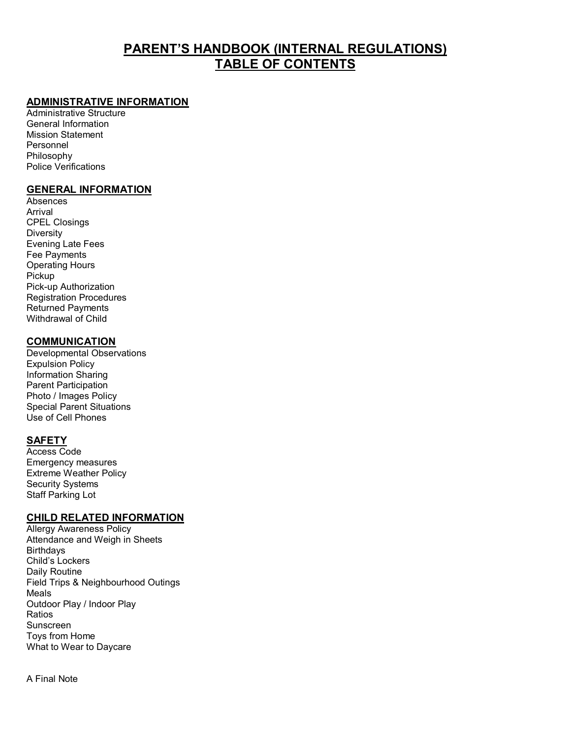## **PARENT'S HANDBOOK (INTERNAL REGULATIONS) TABLE OF CONTENTS**

#### **ADMINISTRATIVE INFORMATION**

Administrative Structure General Information Mission Statement Personnel Philosophy Police Verifications

#### **GENERAL INFORMATION**

Absences Arrival CPEL Closings Diversity Evening Late Fees Fee Payments Operating Hours Pickup Pick-up Authorization Registration Procedures Returned Payments Withdrawal of Child

#### **COMMUNICATION**

Developmental Observations Expulsion Policy Information Sharing Parent Participation Photo / Images Policy Special Parent Situations Use of Cell Phones

#### **SAFETY**

Access Code Emergency measures Extreme Weather Policy Security Systems Staff Parking Lot

#### **CHILD RELATED INFORMATION**

Allergy Awareness Policy Attendance and Weigh in Sheets **Birthdays** Child's Lockers Daily Routine Field Trips & Neighbourhood Outings Meals Outdoor Play / Indoor Play Ratios Sunscreen Toys from Home What to Wear to Daycare

A Final Note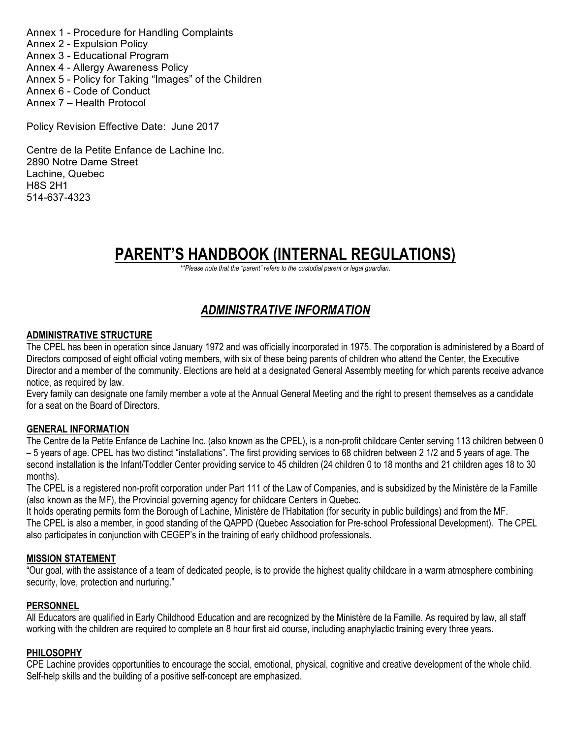Annex 1 - Procedure for Handling Complaints Annex 2 - Expulsion Policy Annex 3 - Educational Program Annex 4 - Allergy Awareness Policy Annex 5 - Policy for Taking "Images" of the Children Annex 6 - Code of Conduct Annex 7 – Health Protocol

Policy Revision Effective Date: June 2017

Centre de la Petite Enfance de Lachine Inc. 2890 Notre Dame Street Lachine, Quebec H8S 2H1 514-637-4323

# **PARENT'S HANDBOOK (INTERNAL REGULATIONS)**

*\*\*Please note that the "parent" refers to the custodial parent or legal guardian.*

## *ADMINISTRATIVE INFORMATION*

#### **ADMINISTRATIVE STRUCTURE**

The CPEL has been in operation since January 1972 and was officially incorporated in 1975. The corporation is administered by a Board of Directors composed of eight official voting members, with six of these being parents of children who attend the Center, the Executive Director and a member of the community. Elections are held at a designated General Assembly meeting for which parents receive advance notice, as required by law.

Every family can designate one family member a vote at the Annual General Meeting and the right to present themselves as a candidate for a seat on the Board of Directors.

#### **GENERAL INFORMATION**

The Centre de la Petite Enfance de Lachine Inc. (also known as the CPEL), is a non-profit childcare Center serving 113 children between 0 – 5 years of age. CPEL has two distinct "installations". The first providing services to 68 children between 2 1/2 and 5 years of age. The second installation is the Infant/Toddler Center providing service to 45 children (24 children 0 to 18 months and 21 children ages 18 to 30 months).

The CPEL is a registered non-profit corporation under Part 111 of the Law of Companies, and is subsidized by the Ministère de la Famille (also known as the MF), the Provincial governing agency for childcare Centers in Quebec.

It holds operating permits form the Borough of Lachine, Ministère de l'Habitation (for security in public buildings) and from the MF. The CPEL is also a member, in good standing of the QAPPD (Quebec Association for Pre-school Professional Development). The CPEL also participates in conjunction with CEGEP's in the training of early childhood professionals.

#### **MISSION STATEMENT**

"Our goal, with the assistance of a team of dedicated people, is to provide the highest quality childcare in a warm atmosphere combining security, love, protection and nurturing."

#### **PERSONNEL**

All Educators are qualified in Early Childhood Education and are recognized by the Ministère de la Famille. As required by law, all staff working with the children are required to complete an 8 hour first aid course, including anaphylactic training every three years.

#### **PHILOSOPHY**

CPE Lachine provides opportunities to encourage the social, emotional, physical, cognitive and creative development of the whole child. Self-help skills and the building of a positive self-concept are emphasized.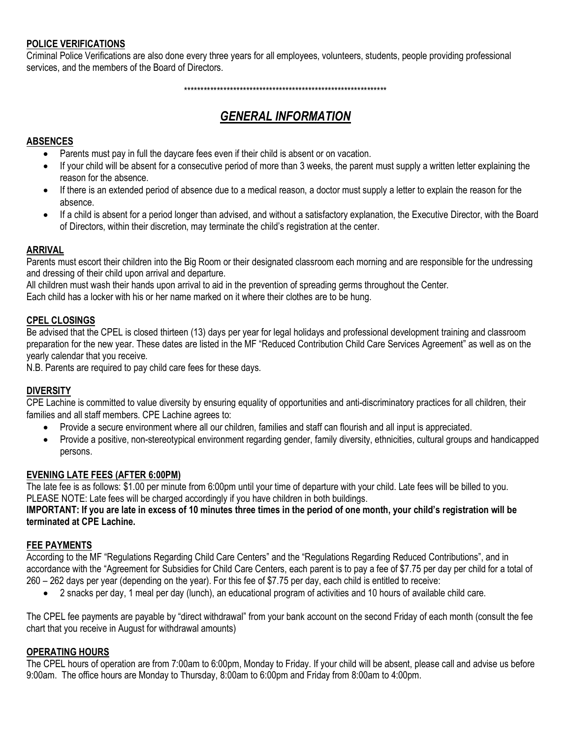#### **POLICE VERIFICATIONS**

Criminal Police Verifications are also done every three years for all employees, volunteers, students, people providing professional services, and the members of the Board of Directors.

\*\*\*\*\*\*\*\*\*\*\*\*\*\*\*\*\*\*\*\*\*\*\*\*\*\*\*\*\*\*\*\*\*\*\*\*\*\*\*\*\*\*\*\*\*\*\*\*\*\*\*\*\*\*\*\*\*\*\*\*\*\*

## *GENERAL INFORMATION*

## **ABSENCES**

- Parents must pay in full the daycare fees even if their child is absent or on vacation.
- If your child will be absent for a consecutive period of more than 3 weeks, the parent must supply a written letter explaining the reason for the absence.
- If there is an extended period of absence due to a medical reason, a doctor must supply a letter to explain the reason for the absence.
- If a child is absent for a period longer than advised, and without a satisfactory explanation, the Executive Director, with the Board of Directors, within their discretion, may terminate the child's registration at the center.

### **ARRIVAL**

Parents must escort their children into the Big Room or their designated classroom each morning and are responsible for the undressing and dressing of their child upon arrival and departure.

All children must wash their hands upon arrival to aid in the prevention of spreading germs throughout the Center.

Each child has a locker with his or her name marked on it where their clothes are to be hung.

#### **CPEL CLOSINGS**

Be advised that the CPEL is closed thirteen (13) days per year for legal holidays and professional development training and classroom preparation for the new year. These dates are listed in the MF "Reduced Contribution Child Care Services Agreement" as well as on the yearly calendar that you receive.

N.B. Parents are required to pay child care fees for these days.

#### **DIVERSITY**

CPE Lachine is committed to value diversity by ensuring equality of opportunities and anti-discriminatory practices for all children, their families and all staff members. CPE Lachine agrees to:

- Provide a secure environment where all our children, families and staff can flourish and all input is appreciated.
- Provide a positive, non-stereotypical environment regarding gender, family diversity, ethnicities, cultural groups and handicapped persons.

#### **EVENING LATE FEES (AFTER 6:00PM)**

The late fee is as follows: \$1.00 per minute from 6:00pm until your time of departure with your child. Late fees will be billed to you. PLEASE NOTE: Late fees will be charged accordingly if you have children in both buildings.

#### **IMPORTANT: If you are late in excess of 10 minutes three times in the period of one month, your child's registration will be terminated at CPE Lachine.**

### **FEE PAYMENTS**

According to the MF "Regulations Regarding Child Care Centers" and the "Regulations Regarding Reduced Contributions", and in accordance with the "Agreement for Subsidies for Child Care Centers, each parent is to pay a fee of \$7.75 per day per child for a total of 260 – 262 days per year (depending on the year). For this fee of \$7.75 per day, each child is entitled to receive:

• 2 snacks per day, 1 meal per day (lunch), an educational program of activities and 10 hours of available child care.

The CPEL fee payments are payable by "direct withdrawal" from your bank account on the second Friday of each month (consult the fee chart that you receive in August for withdrawal amounts)

#### **OPERATING HOURS**

The CPEL hours of operation are from 7:00am to 6:00pm, Monday to Friday. If your child will be absent, please call and advise us before 9:00am. The office hours are Monday to Thursday, 8:00am to 6:00pm and Friday from 8:00am to 4:00pm.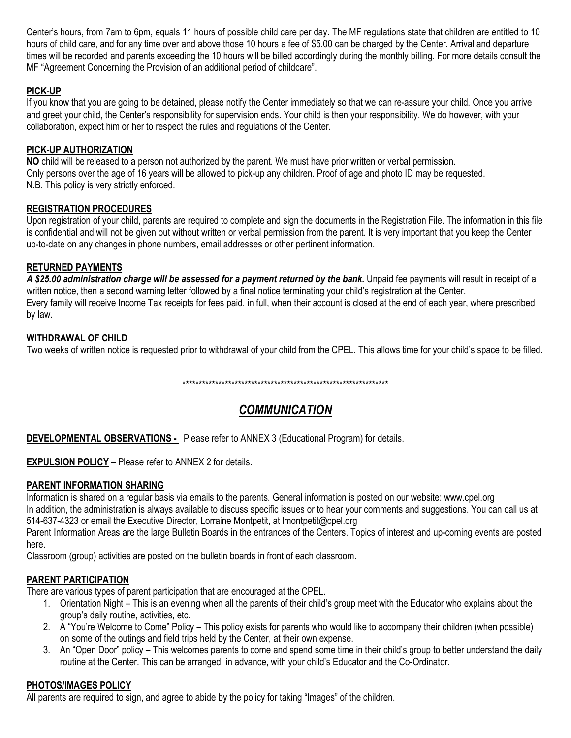Center's hours, from 7am to 6pm, equals 11 hours of possible child care per day. The MF regulations state that children are entitled to 10 hours of child care, and for any time over and above those 10 hours a fee of \$5.00 can be charged by the Center. Arrival and departure times will be recorded and parents exceeding the 10 hours will be billed accordingly during the monthly billing. For more details consult the MF "Agreement Concerning the Provision of an additional period of childcare".

## **PICK-UP**

If you know that you are going to be detained, please notify the Center immediately so that we can re-assure your child. Once you arrive and greet your child, the Center's responsibility for supervision ends. Your child is then your responsibility. We do however, with your collaboration, expect him or her to respect the rules and regulations of the Center.

## **PICK-UP AUTHORIZATION**

**NO** child will be released to a person not authorized by the parent. We must have prior written or verbal permission. Only persons over the age of 16 years will be allowed to pick-up any children. Proof of age and photo ID may be requested. N.B. This policy is very strictly enforced.

## **REGISTRATION PROCEDURES**

Upon registration of your child, parents are required to complete and sign the documents in the Registration File. The information in this file is confidential and will not be given out without written or verbal permission from the parent. It is very important that you keep the Center up-to-date on any changes in phone numbers, email addresses or other pertinent information.

### **RETURNED PAYMENTS**

*A \$25.00 administration charge will be assessed for a payment returned by the bank.* Unpaid fee payments will result in receipt of a written notice, then a second warning letter followed by a final notice terminating your child's registration at the Center. Every family will receive Income Tax receipts for fees paid, in full, when their account is closed at the end of each year, where prescribed by law.

## **WITHDRAWAL OF CHILD**

Two weeks of written notice is requested prior to withdrawal of your child from the CPEL. This allows time for your child's space to be filled.

\*\*\*\*\*\*\*\*\*\*\*\*\*\*\*\*\*\*\*\*\*\*\*\*\*\*\*\*\*\*\*\*\*\*\*\*\*\*\*\*\*\*\*\*\*\*\*\*\*\*\*\*\*\*\*\*\*\*\*\*\*\*\*

## *COMMUNICATION*

**DEVELOPMENTAL OBSERVATIONS -** Please refer to ANNEX 3 (Educational Program) for details.

**EXPULSION POLICY** – Please refer to ANNEX 2 for details.

### **PARENT INFORMATION SHARING**

Information is shared on a regular basis via emails to the parents. General information is posted on our website: www.cpel.org

In addition, the administration is always available to discuss specific issues or to hear your comments and suggestions. You can call us at 514-637-4323 or email the Executive Director, Lorraine Montpetit, at lmontpetit@cpel.org

Parent Information Areas are the large Bulletin Boards in the entrances of the Centers. Topics of interest and up-coming events are posted here.

Classroom (group) activities are posted on the bulletin boards in front of each classroom.

## **PARENT PARTICIPATION**

There are various types of parent participation that are encouraged at the CPEL.

- 1. Orientation Night This is an evening when all the parents of their child's group meet with the Educator who explains about the group's daily routine, activities, etc.
- 2. A "You're Welcome to Come" Policy This policy exists for parents who would like to accompany their children (when possible) on some of the outings and field trips held by the Center, at their own expense.
- 3. An "Open Door" policy This welcomes parents to come and spend some time in their child's group to better understand the daily routine at the Center. This can be arranged, in advance, with your child's Educator and the Co-Ordinator.

## **PHOTOS/IMAGES POLICY**

All parents are required to sign, and agree to abide by the policy for taking "Images" of the children.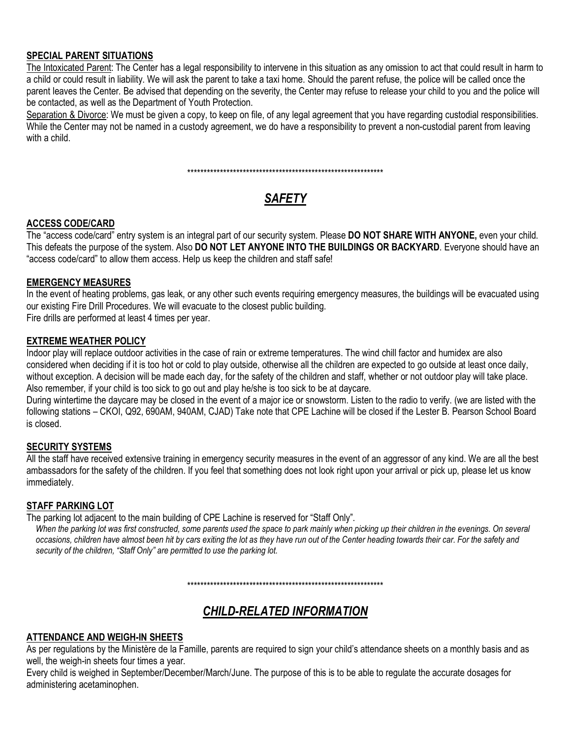### **SPECIAL PARENT SITUATIONS**

The Intoxicated Parent: The Center has a legal responsibility to intervene in this situation as any omission to act that could result in harm to a child or could result in liability. We will ask the parent to take a taxi home. Should the parent refuse, the police will be called once the parent leaves the Center. Be advised that depending on the severity, the Center may refuse to release your child to you and the police will be contacted, as well as the Department of Youth Protection.

Separation & Divorce: We must be given a copy, to keep on file, of any legal agreement that you have regarding custodial responsibilities. While the Center may not be named in a custody agreement, we do have a responsibility to prevent a non-custodial parent from leaving with a child.

\*\*\*\*\*\*\*\*\*\*\*\*\*\*\*\*\*\*\*\*\*\*\*\*\*\*\*\*\*\*\*\*\*\*\*\*\*\*\*\*\*\*\*\*\*\*\*\*\*\*\*\*\*\*\*\*\*\*\*\*

## *SAFETY*

#### **ACCESS CODE/CARD**

The "access code/card" entry system is an integral part of our security system. Please **DO NOT SHARE WITH ANYONE,** even your child. This defeats the purpose of the system. Also **DO NOT LET ANYONE INTO THE BUILDINGS OR BACKYARD**. Everyone should have an "access code/card" to allow them access. Help us keep the children and staff safe!

#### **EMERGENCY MEASURES**

In the event of heating problems, gas leak, or any other such events requiring emergency measures, the buildings will be evacuated using our existing Fire Drill Procedures. We will evacuate to the closest public building.

Fire drills are performed at least 4 times per year.

### **EXTREME WEATHER POLICY**

Indoor play will replace outdoor activities in the case of rain or extreme temperatures. The wind chill factor and humidex are also considered when deciding if it is too hot or cold to play outside, otherwise all the children are expected to go outside at least once daily, without exception. A decision will be made each day, for the safety of the children and staff, whether or not outdoor play will take place. Also remember, if your child is too sick to go out and play he/she is too sick to be at daycare.

During wintertime the daycare may be closed in the event of a major ice or snowstorm. Listen to the radio to verify. (we are listed with the following stations – CKOI, Q92, 690AM, 940AM, CJAD) Take note that CPE Lachine will be closed if the Lester B. Pearson School Board is closed.

### **SECURITY SYSTEMS**

All the staff have received extensive training in emergency security measures in the event of an aggressor of any kind. We are all the best ambassadors for the safety of the children. If you feel that something does not look right upon your arrival or pick up, please let us know immediately.

#### **STAFF PARKING LOT**

The parking lot adjacent to the main building of CPE Lachine is reserved for "Staff Only".

When the parking lot was first constructed, some parents used the space to park mainly when picking up their children in the evenings. On several *occasions, children have almost been hit by cars exiting the lot as they have run out of the Center heading towards their car. For the safety and security of the children, "Staff Only" are permitted to use the parking lot.*

\*\*\*\*\*\*\*\*\*\*\*\*\*\*\*\*\*\*\*\*\*\*\*\*\*\*\*\*\*\*\*\*\*\*\*\*\*\*\*\*\*\*\*\*\*\*\*\*\*\*\*\*\*\*\*\*\*\*\*\*

## *CHILD-RELATED INFORMATION*

## **ATTENDANCE AND WEIGH-IN SHEETS**

As per regulations by the Ministère de la Famille, parents are required to sign your child's attendance sheets on a monthly basis and as well, the weigh-in sheets four times a year.

Every child is weighed in September/December/March/June. The purpose of this is to be able to regulate the accurate dosages for administering acetaminophen.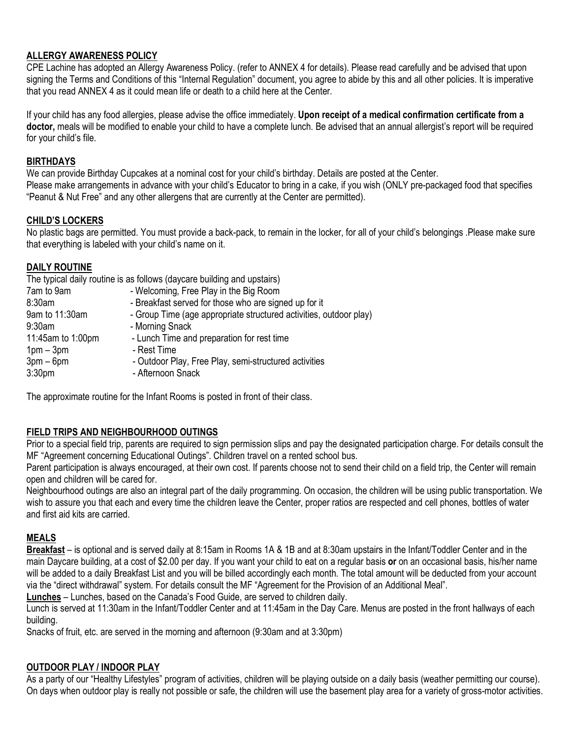## **ALLERGY AWARENESS POLICY**

CPE Lachine has adopted an Allergy Awareness Policy. (refer to ANNEX 4 for details). Please read carefully and be advised that upon signing the Terms and Conditions of this "Internal Regulation" document, you agree to abide by this and all other policies. It is imperative that you read ANNEX 4 as it could mean life or death to a child here at the Center.

If your child has any food allergies, please advise the office immediately. **Upon receipt of a medical confirmation certificate from a doctor,** meals will be modified to enable your child to have a complete lunch. Be advised that an annual allergist's report will be required for your child's file.

### **BIRTHDAYS**

We can provide Birthday Cupcakes at a nominal cost for your child's birthday. Details are posted at the Center. Please make arrangements in advance with your child's Educator to bring in a cake, if you wish (ONLY pre-packaged food that specifies "Peanut & Nut Free" and any other allergens that are currently at the Center are permitted).

### **CHILD'S LOCKERS**

No plastic bags are permitted. You must provide a back-pack, to remain in the locker, for all of your child's belongings .Please make sure that everything is labeled with your child's name on it.

## **DAILY ROUTINE**

|                    | The typical daily routine is as follows (daycare building and upstairs) |
|--------------------|-------------------------------------------------------------------------|
| 7am to 9am         | - Welcoming, Free Play in the Big Room                                  |
| 8:30am             | - Breakfast served for those who are signed up for it                   |
| 9am to 11:30am     | - Group Time (age appropriate structured activities, outdoor play)      |
| 9:30am             | - Morning Snack                                                         |
| 11:45am to 1:00pm  | - Lunch Time and preparation for rest time                              |
| $1pm - 3pm$        | - Rest Time                                                             |
| $3pm-6pm$          | - Outdoor Play, Free Play, semi-structured activities                   |
| 3:30 <sub>pm</sub> | - Afternoon Snack                                                       |
|                    |                                                                         |

The approximate routine for the Infant Rooms is posted in front of their class.

## **FIELD TRIPS AND NEIGHBOURHOOD OUTINGS**

Prior to a special field trip, parents are required to sign permission slips and pay the designated participation charge. For details consult the MF "Agreement concerning Educational Outings". Children travel on a rented school bus.

Parent participation is always encouraged, at their own cost. If parents choose not to send their child on a field trip, the Center will remain open and children will be cared for.

Neighbourhood outings are also an integral part of the daily programming. On occasion, the children will be using public transportation. We wish to assure you that each and every time the children leave the Center, proper ratios are respected and cell phones, bottles of water and first aid kits are carried.

## **MEALS**

**Breakfast** – is optional and is served daily at 8:15am in Rooms 1A & 1B and at 8:30am upstairs in the Infant/Toddler Center and in the main Daycare building, at a cost of \$2.00 per day. If you want your child to eat on a regular basis **or** on an occasional basis, his/her name will be added to a daily Breakfast List and you will be billed accordingly each month. The total amount will be deducted from your account via the "direct withdrawal" system. For details consult the MF "Agreement for the Provision of an Additional Meal".

**Lunches** – Lunches, based on the Canada's Food Guide, are served to children daily.

Lunch is served at 11:30am in the Infant/Toddler Center and at 11:45am in the Day Care. Menus are posted in the front hallways of each building.

Snacks of fruit, etc. are served in the morning and afternoon (9:30am and at 3:30pm)

### **OUTDOOR PLAY / INDOOR PLAY**

As a party of our "Healthy Lifestyles" program of activities, children will be playing outside on a daily basis (weather permitting our course). On days when outdoor play is really not possible or safe, the children will use the basement play area for a variety of gross-motor activities.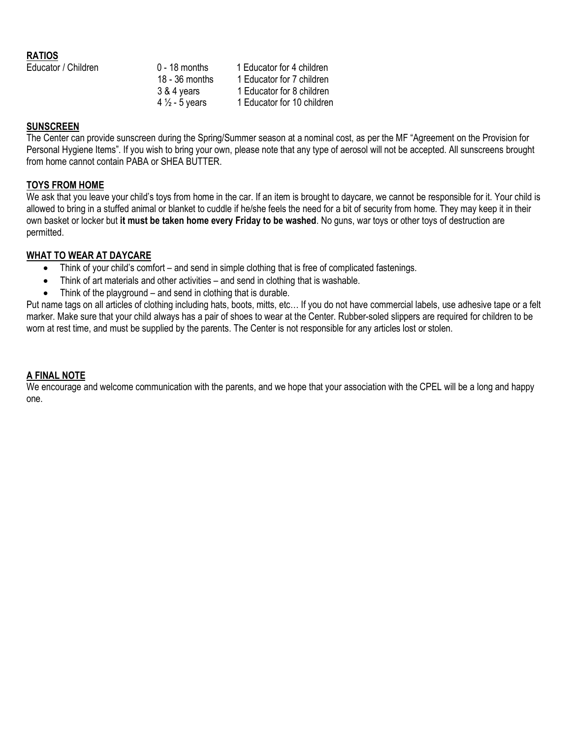#### **RATIOS**

| Educator / Children | $0 - 18$ months           | 1 Educator for 4 children  |
|---------------------|---------------------------|----------------------------|
|                     | $18 - 36$ months          | 1 Educator for 7 children  |
|                     | 3 & 4 years               | 1 Educator for 8 children  |
|                     | 4 $\frac{1}{2}$ - 5 years | 1 Educator for 10 children |

#### **SUNSCREEN**

The Center can provide sunscreen during the Spring/Summer season at a nominal cost, as per the MF "Agreement on the Provision for Personal Hygiene Items". If you wish to bring your own, please note that any type of aerosol will not be accepted. All sunscreens brought from home cannot contain PABA or SHEA BUTTER.

#### **TOYS FROM HOME**

We ask that you leave your child's toys from home in the car. If an item is brought to daycare, we cannot be responsible for it. Your child is allowed to bring in a stuffed animal or blanket to cuddle if he/she feels the need for a bit of security from home. They may keep it in their own basket or locker but **it must be taken home every Friday to be washed**. No guns, war toys or other toys of destruction are permitted.

#### **WHAT TO WEAR AT DAYCARE**

- Think of your child's comfort and send in simple clothing that is free of complicated fastenings.
- Think of art materials and other activities and send in clothing that is washable.
- Think of the playground and send in clothing that is durable.

Put name tags on all articles of clothing including hats, boots, mitts, etc… If you do not have commercial labels, use adhesive tape or a felt marker. Make sure that your child always has a pair of shoes to wear at the Center. Rubber-soled slippers are required for children to be worn at rest time, and must be supplied by the parents. The Center is not responsible for any articles lost or stolen.

#### **A FINAL NOTE**

We encourage and welcome communication with the parents, and we hope that your association with the CPEL will be a long and happy one.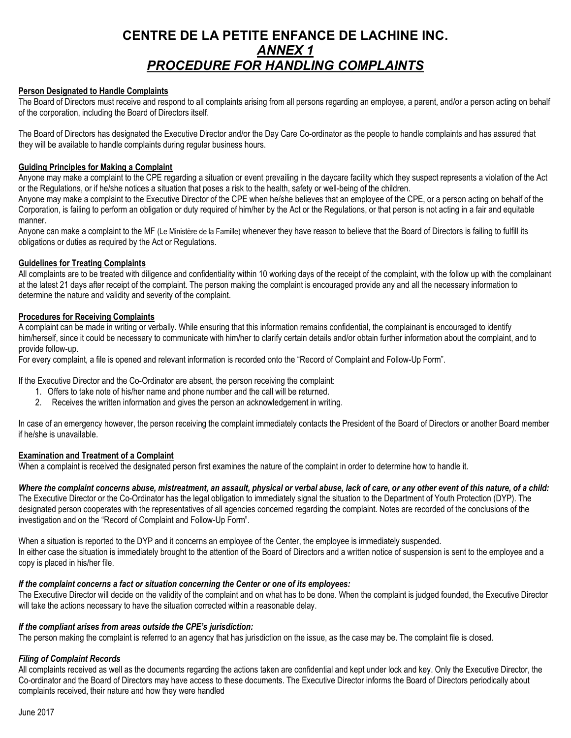## **CENTRE DE LA PETITE ENFANCE DE LACHINE INC.** *ANNEX 1 PROCEDURE FOR HANDLING COMPLAINTS*

#### **Person Designated to Handle Complaints**

The Board of Directors must receive and respond to all complaints arising from all persons regarding an employee, a parent, and/or a person acting on behalf of the corporation, including the Board of Directors itself.

The Board of Directors has designated the Executive Director and/or the Day Care Co-ordinator as the people to handle complaints and has assured that they will be available to handle complaints during regular business hours.

#### **Guiding Principles for Making a Complaint**

Anyone may make a complaint to the CPE regarding a situation or event prevailing in the daycare facility which they suspect represents a violation of the Act or the Regulations, or if he/she notices a situation that poses a risk to the health, safety or well-being of the children.

Anyone may make a complaint to the Executive Director of the CPE when he/she believes that an employee of the CPE, or a person acting on behalf of the Corporation, is failing to perform an obligation or duty required of him/her by the Act or the Regulations, or that person is not acting in a fair and equitable manner.

Anyone can make a complaint to the MF (Le Ministère de la Famille) whenever they have reason to believe that the Board of Directors is failing to fulfill its obligations or duties as required by the Act or Regulations.

#### **Guidelines for Treating Complaints**

All complaints are to be treated with diligence and confidentiality within 10 working days of the receipt of the complaint, with the follow up with the complainant at the latest 21 days after receipt of the complaint. The person making the complaint is encouraged provide any and all the necessary information to determine the nature and validity and severity of the complaint.

#### **Procedures for Receiving Complaints**

A complaint can be made in writing or verbally. While ensuring that this information remains confidential, the complainant is encouraged to identify him/herself, since it could be necessary to communicate with him/her to clarify certain details and/or obtain further information about the complaint, and to provide follow-up.

For every complaint, a file is opened and relevant information is recorded onto the "Record of Complaint and Follow-Up Form".

If the Executive Director and the Co-Ordinator are absent, the person receiving the complaint:

- 1. Offers to take note of his/her name and phone number and the call will be returned.
- 2. Receives the written information and gives the person an acknowledgement in writing.

In case of an emergency however, the person receiving the complaint immediately contacts the President of the Board of Directors or another Board member if he/she is unavailable.

#### **Examination and Treatment of a Complaint**

When a complaint is received the designated person first examines the nature of the complaint in order to determine how to handle it.

*Where the complaint concerns abuse, mistreatment, an assault, physical or verbal abuse, lack of care, or any other event of this nature, of a child:* The Executive Director or the Co-Ordinator has the legal obligation to immediately signal the situation to the Department of Youth Protection (DYP). The designated person cooperates with the representatives of all agencies concerned regarding the complaint. Notes are recorded of the conclusions of the investigation and on the "Record of Complaint and Follow-Up Form".

When a situation is reported to the DYP and it concerns an employee of the Center, the employee is immediately suspended. In either case the situation is immediately brought to the attention of the Board of Directors and a written notice of suspension is sent to the employee and a copy is placed in his/her file.

#### *If the complaint concerns a fact or situation concerning the Center or one of its employees:*

The Executive Director will decide on the validity of the complaint and on what has to be done. When the complaint is judged founded, the Executive Director will take the actions necessary to have the situation corrected within a reasonable delay.

#### *If the compliant arises from areas outside the CPE's jurisdiction:*

The person making the complaint is referred to an agency that has jurisdiction on the issue, as the case may be. The complaint file is closed.

#### *Filing of Complaint Records*

All complaints received as well as the documents regarding the actions taken are confidential and kept under lock and key. Only the Executive Director, the Co-ordinator and the Board of Directors may have access to these documents. The Executive Director informs the Board of Directors periodically about complaints received, their nature and how they were handled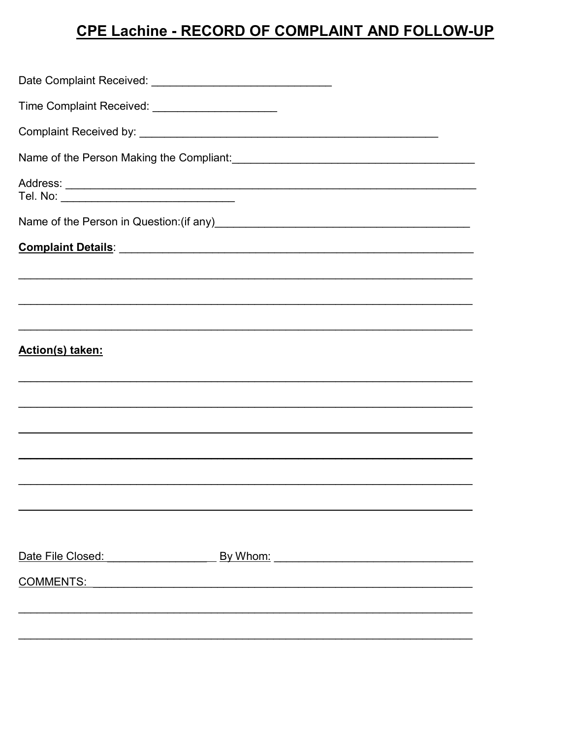# CPE Lachine - RECORD OF COMPLAINT AND FOLLOW-UP

| Date Complaint Received: ___________________________________                                                           |
|------------------------------------------------------------------------------------------------------------------------|
| Time Complaint Received: _______________________                                                                       |
|                                                                                                                        |
|                                                                                                                        |
|                                                                                                                        |
|                                                                                                                        |
|                                                                                                                        |
|                                                                                                                        |
|                                                                                                                        |
|                                                                                                                        |
| Action(s) taken:                                                                                                       |
| <u> 1989 - Johann Stoff, deutscher Stoffen und der Stoffen und der Stoffen und der Stoffen und der Stoffen und der</u> |
| <u> 1989 - Johann Barbara, marka marka marka marka marka marka marka marka marka marka marka marka marka marka m</u>   |
|                                                                                                                        |
|                                                                                                                        |
|                                                                                                                        |
|                                                                                                                        |
|                                                                                                                        |
|                                                                                                                        |
|                                                                                                                        |
|                                                                                                                        |
|                                                                                                                        |
|                                                                                                                        |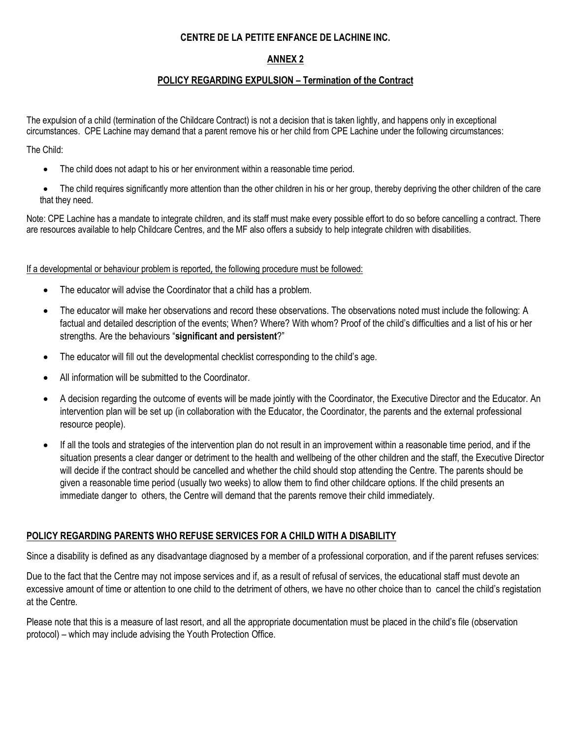### **CENTRE DE LA PETITE ENFANCE DE LACHINE INC.**

### **ANNEX 2**

#### **POLICY REGARDING EXPULSION – Termination of the Contract**

The expulsion of a child (termination of the Childcare Contract) is not a decision that is taken lightly, and happens only in exceptional circumstances. CPE Lachine may demand that a parent remove his or her child from CPE Lachine under the following circumstances:

The Child:

- The child does not adapt to his or her environment within a reasonable time period.
- The child requires significantly more attention than the other children in his or her group, thereby depriving the other children of the care that they need.

Note: CPE Lachine has a mandate to integrate children, and its staff must make every possible effort to do so before cancelling a contract. There are resources available to help Childcare Centres, and the MF also offers a subsidy to help integrate children with disabilities.

If a developmental or behaviour problem is reported, the following procedure must be followed:

- The educator will advise the Coordinator that a child has a problem.
- The educator will make her observations and record these observations. The observations noted must include the following: A factual and detailed description of the events; When? Where? With whom? Proof of the child's difficulties and a list of his or her strengths. Are the behaviours "**significant and persistent**?"
- The educator will fill out the developmental checklist corresponding to the child's age.
- All information will be submitted to the Coordinator.
- A decision regarding the outcome of events will be made jointly with the Coordinator, the Executive Director and the Educator. An intervention plan will be set up (in collaboration with the Educator, the Coordinator, the parents and the external professional resource people).
- If all the tools and strategies of the intervention plan do not result in an improvement within a reasonable time period, and if the situation presents a clear danger or detriment to the health and wellbeing of the other children and the staff, the Executive Director will decide if the contract should be cancelled and whether the child should stop attending the Centre. The parents should be given a reasonable time period (usually two weeks) to allow them to find other childcare options. If the child presents an immediate danger to others, the Centre will demand that the parents remove their child immediately.

#### **POLICY REGARDING PARENTS WHO REFUSE SERVICES FOR A CHILD WITH A DISABILITY**

Since a disability is defined as any disadvantage diagnosed by a member of a professional corporation, and if the parent refuses services:

Due to the fact that the Centre may not impose services and if, as a result of refusal of services, the educational staff must devote an excessive amount of time or attention to one child to the detriment of others, we have no other choice than to cancel the child's registation at the Centre.

Please note that this is a measure of last resort, and all the appropriate documentation must be placed in the child's file (observation protocol) – which may include advising the Youth Protection Office.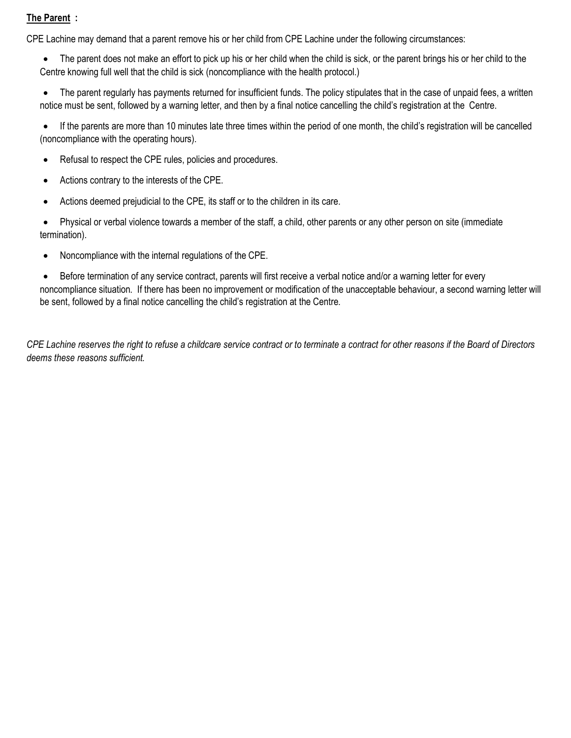## **The Parent :**

CPE Lachine may demand that a parent remove his or her child from CPE Lachine under the following circumstances:

The parent does not make an effort to pick up his or her child when the child is sick, or the parent brings his or her child to the Centre knowing full well that the child is sick (noncompliance with the health protocol.)

• The parent regularly has payments returned for insufficient funds. The policy stipulates that in the case of unpaid fees, a written notice must be sent, followed by a warning letter, and then by a final notice cancelling the child's registration at the Centre.

• If the parents are more than 10 minutes late three times within the period of one month, the child's registration will be cancelled (noncompliance with the operating hours).

- Refusal to respect the CPE rules, policies and procedures.
- Actions contrary to the interests of the CPE.
- Actions deemed prejudicial to the CPE, its staff or to the children in its care.

• Physical or verbal violence towards a member of the staff, a child, other parents or any other person on site (immediate termination).

• Noncompliance with the internal regulations of the CPE.

• Before termination of any service contract, parents will first receive a verbal notice and/or a warning letter for every noncompliance situation. If there has been no improvement or modification of the unacceptable behaviour, a second warning letter will be sent, followed by a final notice cancelling the child's registration at the Centre.

*CPE Lachine reserves the right to refuse a childcare service contract or to terminate a contract for other reasons if the Board of Directors deems these reasons sufficient.*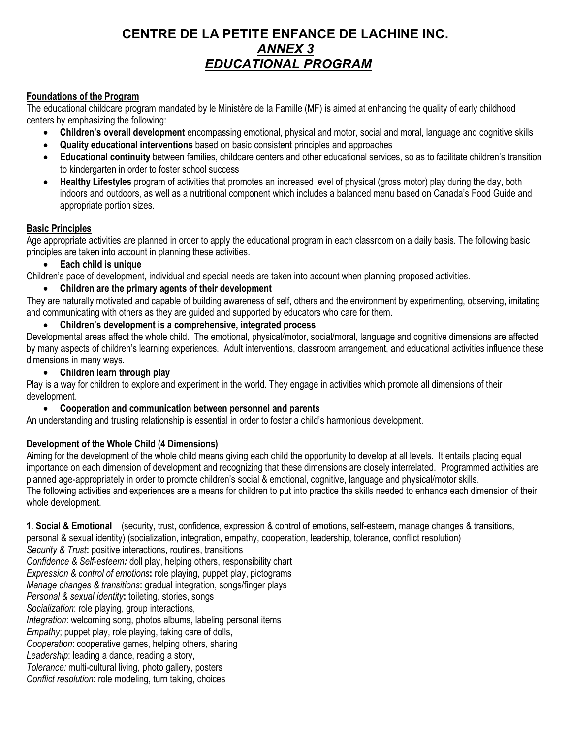## **CENTRE DE LA PETITE ENFANCE DE LACHINE INC.** *ANNEX 3 EDUCATIONAL PROGRAM*

## **Foundations of the Program**

The educational childcare program mandated by le Ministère de la Famille (MF) is aimed at enhancing the quality of early childhood centers by emphasizing the following:

- **Children's overall development** encompassing emotional, physical and motor, social and moral, language and cognitive skills
- **Quality educational interventions** based on basic consistent principles and approaches
- **Educational continuity** between families, childcare centers and other educational services, so as to facilitate children's transition to kindergarten in order to foster school success
- **Healthy Lifestyles** program of activities that promotes an increased level of physical (gross motor) play during the day, both indoors and outdoors, as well as a nutritional component which includes a balanced menu based on Canada's Food Guide and appropriate portion sizes.

## **Basic Principles**

Age appropriate activities are planned in order to apply the educational program in each classroom on a daily basis. The following basic principles are taken into account in planning these activities.

## • **Each child is unique**

Children's pace of development, individual and special needs are taken into account when planning proposed activities.

## • **Children are the primary agents of their development**

They are naturally motivated and capable of building awareness of self, others and the environment by experimenting, observing, imitating and communicating with others as they are guided and supported by educators who care for them.

• **Children's development is a comprehensive, integrated process**

Developmental areas affect the whole child. The emotional, physical/motor, social/moral, language and cognitive dimensions are affected by many aspects of children's learning experiences. Adult interventions, classroom arrangement, and educational activities influence these dimensions in many ways.

## • **Children learn through play**

Play is a way for children to explore and experiment in the world. They engage in activities which promote all dimensions of their development.

### • **Cooperation and communication between personnel and parents**

An understanding and trusting relationship is essential in order to foster a child's harmonious development.

## **Development of the Whole Child (4 Dimensions)**

Aiming for the development of the whole child means giving each child the opportunity to develop at all levels. It entails placing equal importance on each dimension of development and recognizing that these dimensions are closely interrelated. Programmed activities are planned age-appropriately in order to promote children's social & emotional, cognitive, language and physical/motor skills. The following activities and experiences are a means for children to put into practice the skills needed to enhance each dimension of their whole development.

**1. Social & Emotional** (security, trust, confidence, expression & control of emotions, self-esteem, manage changes & transitions,

personal & sexual identity) (socialization, integration, empathy, cooperation, leadership, tolerance, conflict resolution)

*Security & Trust***:** positive interactions, routines, transitions

*Confidence & Self-esteem:* doll play, helping others, responsibility chart

*Expression & control of emotions***:** role playing, puppet play, pictograms

*Manage changes & transitions***:** gradual integration, songs/finger plays

*Personal & sexual identity***:** toileting, stories, songs

*Socialization*: role playing, group interactions,

*Integration*: welcoming song, photos albums, labeling personal items

*Empathy*; puppet play, role playing, taking care of dolls,

*Cooperation*: cooperative games, helping others, sharing

*Leadership*: leading a dance, reading a story,

*Tolerance:* multi-cultural living, photo gallery, posters

*Conflict resolution*: role modeling, turn taking, choices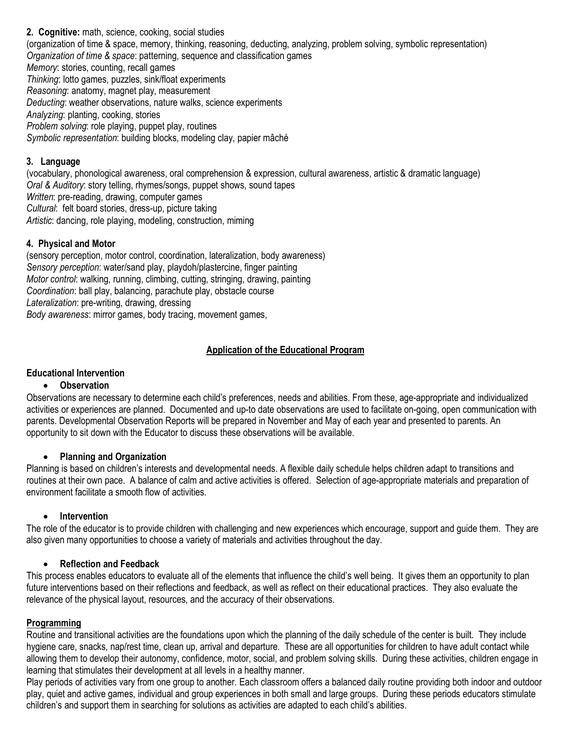**2. Cognitive:** math, science, cooking, social studies (organization of time & space, memory, thinking, reasoning, deducting, analyzing, problem solving, symbolic representation) *Organization of time & space*: patterning, sequence and classification games *Memory*: stories, counting, recall games *Thinking*: lotto games, puzzles, sink/float experiments *Reasoning*: anatomy, magnet play, measurement *Deducting*: weather observations, nature walks, science experiments *Analyzing*: planting, cooking, stories *Problem solving*: role playing, puppet play, routines *Symbolic representation*: building blocks, modeling clay, papier mâché

## **3. Language**

(vocabulary, phonological awareness, oral comprehension & expression, cultural awareness, artistic & dramatic language) *Oral & Auditory*: story telling, rhymes/songs, puppet shows, sound tapes *Written*: pre-reading, drawing, computer games *Cultural*: felt board stories, dress-up, picture taking *Artistic*: dancing, role playing, modeling, construction, miming

### **4. Physical and Motor**

(sensory perception, motor control, coordination, lateralization, body awareness) *Sensory perception*: water/sand play, playdoh/plastercine, finger painting *Motor control*: walking, running, climbing, cutting, stringing, drawing, painting *Coordination*: ball play, balancing, parachute play, obstacle course *Lateralization*: pre-writing, drawing, dressing *Body awareness*: mirror games, body tracing, movement games,

## **Application of the Educational Program**

### **Educational Intervention**

#### • **Observation**

Observations are necessary to determine each child's preferences, needs and abilities. From these, age-appropriate and individualized activities or experiences are planned. Documented and up-to date observations are used to facilitate on-going, open communication with parents. Developmental Observation Reports will be prepared in November and May of each year and presented to parents. An opportunity to sit down with the Educator to discuss these observations will be available.

#### • **Planning and Organization**

Planning is based on children's interests and developmental needs. A flexible daily schedule helps children adapt to transitions and routines at their own pace. A balance of calm and active activities is offered. Selection of age-appropriate materials and preparation of environment facilitate a smooth flow of activities.

#### • **Intervention**

The role of the educator is to provide children with challenging and new experiences which encourage, support and guide them. They are also given many opportunities to choose a variety of materials and activities throughout the day.

#### • **Reflection and Feedback**

This process enables educators to evaluate all of the elements that influence the child's well being. It gives them an opportunity to plan future interventions based on their reflections and feedback, as well as reflect on their educational practices. They also evaluate the relevance of the physical layout, resources, and the accuracy of their observations.

#### **Programming**

Routine and transitional activities are the foundations upon which the planning of the daily schedule of the center is built. They include hygiene care, snacks, nap/rest time, clean up, arrival and departure. These are all opportunities for children to have adult contact while allowing them to develop their autonomy, confidence, motor, social, and problem solving skills. During these activities, children engage in learning that stimulates their development at all levels in a healthy manner.

Play periods of activities vary from one group to another. Each classroom offers a balanced daily routine providing both indoor and outdoor play, quiet and active games, individual and group experiences in both small and large groups. During these periods educators stimulate children's and support them in searching for solutions as activities are adapted to each child's abilities.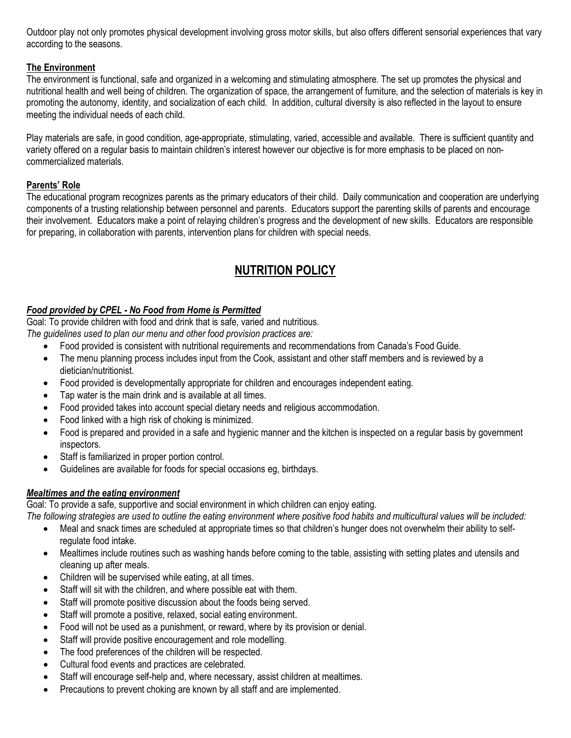Outdoor play not only promotes physical development involving gross motor skills, but also offers different sensorial experiences that vary according to the seasons.

## **The Environment**

The environment is functional, safe and organized in a welcoming and stimulating atmosphere. The set up promotes the physical and nutritional health and well being of children. The organization of space, the arrangement of furniture, and the selection of materials is key in promoting the autonomy, identity, and socialization of each child. In addition, cultural diversity is also reflected in the layout to ensure meeting the individual needs of each child.

Play materials are safe, in good condition, age-appropriate, stimulating, varied, accessible and available. There is sufficient quantity and variety offered on a regular basis to maintain children's interest however our objective is for more emphasis to be placed on noncommercialized materials.

## **Parents' Role**

The educational program recognizes parents as the primary educators of their child. Daily communication and cooperation are underlying components of a trusting relationship between personnel and parents. Educators support the parenting skills of parents and encourage their involvement. Educators make a point of relaying children's progress and the development of new skills. Educators are responsible for preparing, in collaboration with parents, intervention plans for children with special needs.

## **NUTRITION POLICY**

## *Food provided by CPEL - No Food from Home is Permitted*

Goal: To provide children with food and drink that is safe, varied and nutritious.

*The guidelines used to plan our menu and other food provision practices are:*

- Food provided is consistent with nutritional requirements and recommendations from Canada's Food Guide.
- The menu planning process includes input from the Cook, assistant and other staff members and is reviewed by a dietician/nutritionist.
- Food provided is developmentally appropriate for children and encourages independent eating.
- Tap water is the main drink and is available at all times.
- Food provided takes into account special dietary needs and religious accommodation.
- Food linked with a high risk of choking is minimized.
- Food is prepared and provided in a safe and hygienic manner and the kitchen is inspected on a regular basis by government inspectors.
- Staff is familiarized in proper portion control.
- Guidelines are available for foods for special occasions eg, birthdays.

## *Mealtimes and the eating environment*

Goal: To provide a safe, supportive and social environment in which children can enjoy eating.

*The following strategies are used to outline the eating environment where positive food habits and multicultural values will be included:*

- Meal and snack times are scheduled at appropriate times so that children's hunger does not overwhelm their ability to selfregulate food intake.
- Mealtimes include routines such as washing hands before coming to the table, assisting with setting plates and utensils and cleaning up after meals.
- Children will be supervised while eating, at all times.
- Staff will sit with the children, and where possible eat with them.
- Staff will promote positive discussion about the foods being served.
- Staff will promote a positive, relaxed, social eating environment.
- Food will not be used as a punishment, or reward, where by its provision or denial.
- Staff will provide positive encouragement and role modelling.
- The food preferences of the children will be respected.
- Cultural food events and practices are celebrated.
- Staff will encourage self-help and, where necessary, assist children at mealtimes.
- Precautions to prevent choking are known by all staff and are implemented.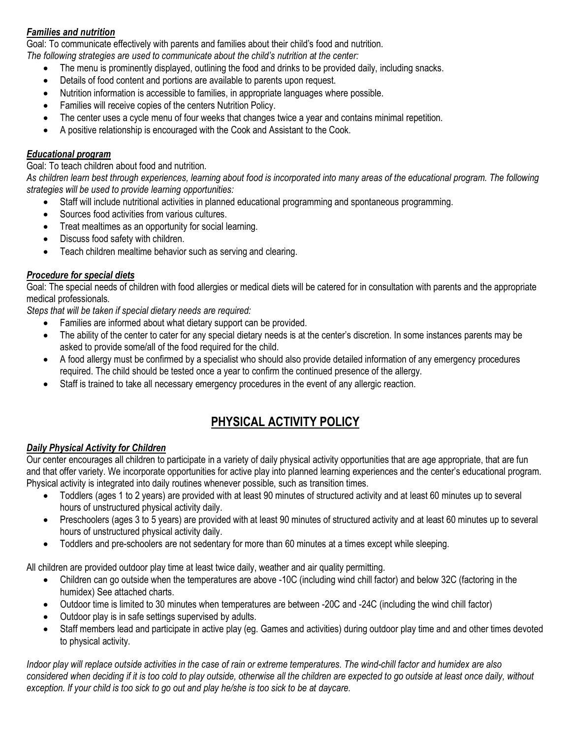## *Families and nutrition*

Goal: To communicate effectively with parents and families about their child's food and nutrition.

*The following strategies are used to communicate about the child's nutrition at the center:*

- The menu is prominently displayed, outlining the food and drinks to be provided daily, including snacks.
- Details of food content and portions are available to parents upon request.
- Nutrition information is accessible to families, in appropriate languages where possible.
- Families will receive copies of the centers Nutrition Policy.
- The center uses a cycle menu of four weeks that changes twice a year and contains minimal repetition.
- A positive relationship is encouraged with the Cook and Assistant to the Cook.

## *Educational program*

Goal: To teach children about food and nutrition.

*As children learn best through experiences, learning about food is incorporated into many areas of the educational program. The following strategies will be used to provide learning opportunities:*

- Staff will include nutritional activities in planned educational programming and spontaneous programming.
- Sources food activities from various cultures.
- Treat mealtimes as an opportunity for social learning.
- Discuss food safety with children.
- Teach children mealtime behavior such as serving and clearing.

## *Procedure for special diets*

Goal: The special needs of children with food allergies or medical diets will be catered for in consultation with parents and the appropriate medical professionals.

*Steps that will be taken if special dietary needs are required:*

- Families are informed about what dietary support can be provided.
- The ability of the center to cater for any special dietary needs is at the center's discretion. In some instances parents may be asked to provide some/all of the food required for the child.
- A food allergy must be confirmed by a specialist who should also provide detailed information of any emergency procedures required. The child should be tested once a year to confirm the continued presence of the allergy.
- Staff is trained to take all necessary emergency procedures in the event of any allergic reaction.

## **PHYSICAL ACTIVITY POLICY**

## *Daily Physical Activity for Children*

Our center encourages all children to participate in a variety of daily physical activity opportunities that are age appropriate, that are fun and that offer variety. We incorporate opportunities for active play into planned learning experiences and the center's educational program. Physical activity is integrated into daily routines whenever possible, such as transition times.

- Toddlers (ages 1 to 2 years) are provided with at least 90 minutes of structured activity and at least 60 minutes up to several hours of unstructured physical activity daily.
- Preschoolers (ages 3 to 5 years) are provided with at least 90 minutes of structured activity and at least 60 minutes up to several hours of unstructured physical activity daily.
- Toddlers and pre-schoolers are not sedentary for more than 60 minutes at a times except while sleeping.

All children are provided outdoor play time at least twice daily, weather and air quality permitting.

- Children can go outside when the temperatures are above -10C (including wind chill factor) and below 32C (factoring in the humidex) See attached charts.
- Outdoor time is limited to 30 minutes when temperatures are between -20C and -24C (including the wind chill factor)
- Outdoor play is in safe settings supervised by adults.
- Staff members lead and participate in active play (eg. Games and activities) during outdoor play time and and other times devoted to physical activity.

*Indoor play will replace outside activities in the case of rain or extreme temperatures. The wind-chill factor and humidex are also considered when deciding if it is too cold to play outside, otherwise all the children are expected to go outside at least once daily, without exception. If your child is too sick to go out and play he/she is too sick to be at daycare.*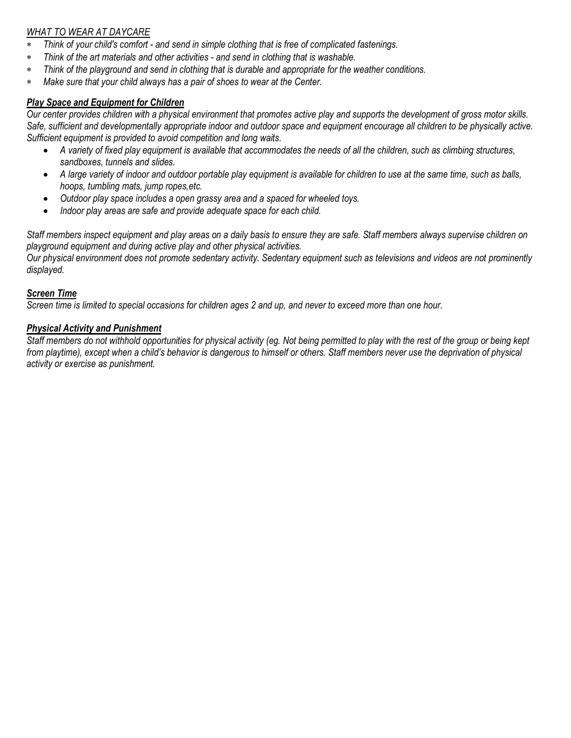## *WHAT TO WEAR AT DAYCARE*

- ∗ *Think of your child's comfort - and send in simple clothing that is free of complicated fastenings.*
- ∗ *Think of the art materials and other activities - and send in clothing that is washable.*
- ∗ *Think of the playground and send in clothing that is durable and appropriate for the weather conditions.*
- ∗ *Make sure that your child always has a pair of shoes to wear at the Center.*

## *Play Space and Equipment for Children*

*Our center provides children with a physical environment that promotes active play and supports the development of gross motor skills. Safe, sufficient and developmentally appropriate indoor and outdoor space and equipment encourage all children to be physically active. Sufficient equipment is provided to avoid competition and long waits.*

- *A variety of fixed play equipment is available that accommodates the needs of all the children, such as climbing structures, sandboxes, tunnels and slides.*
- *A large variety of indoor and outdoor portable play equipment is available for children to use at the same time, such as balls, hoops, tumbling mats, jump ropes,etc.*
- *Outdoor play space includes a open grassy area and a spaced for wheeled toys.*
- *Indoor play areas are safe and provide adequate space for each child.*

*Staff members inspect equipment and play areas on a daily basis to ensure they are safe. Staff members always supervise children on playground equipment and during active play and other physical activities.*

*Our physical environment does not promote sedentary activity. Sedentary equipment such as televisions and videos are not prominently displayed.* 

#### *Screen Time*

*Screen time is limited to special occasions for children ages 2 and up, and never to exceed more than one hour.*

#### *Physical Activity and Punishment*

*Staff members do not withhold opportunities for physical activity (eg. Not being permitted to play with the rest of the group or being kept from playtime), except when a child's behavior is dangerous to himself or others. Staff members never use the deprivation of physical activity or exercise as punishment.*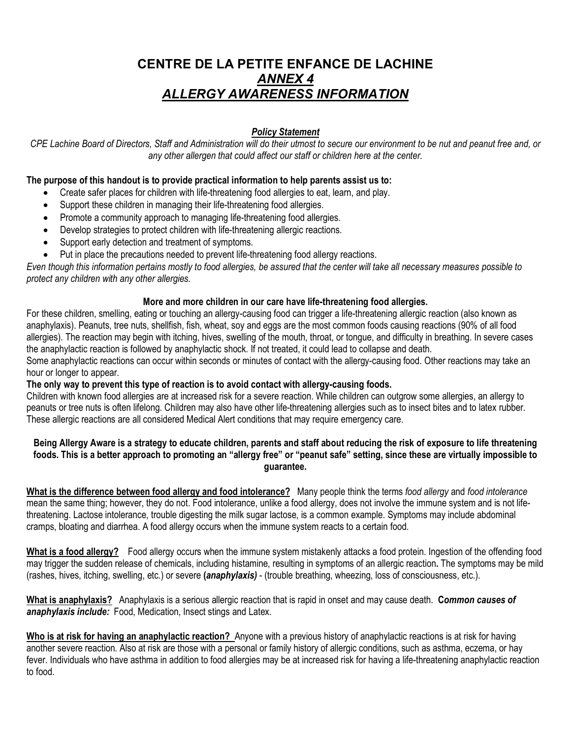## **CENTRE DE LA PETITE ENFANCE DE LACHINE** *ANNEX 4 ALLERGY AWARENESS INFORMATION*

## *Policy Statement*

*CPE Lachine Board of Directors, Staff and Administration will do their utmost to secure our environment to be nut and peanut free and, or any other allergen that could affect our staff or children here at the center.*

#### **The purpose of this handout is to provide practical information to help parents assist us to:**

- Create safer places for children with life-threatening food allergies to eat, learn, and play.
- Support these children in managing their life-threatening food allergies.
- Promote a community approach to managing life-threatening food allergies.
- Develop strategies to protect children with life-threatening allergic reactions.
- Support early detection and treatment of symptoms.
- Put in place the precautions needed to prevent life-threatening food allergy reactions.

*Even though this information pertains mostly to food allergies, be assured that the center will take all necessary measures possible to protect any children with any other allergies.*

#### **More and more children in our care have life-threatening food allergies.**

For these children, smelling, eating or touching an allergy-causing food can trigger a life-threatening allergic reaction (also known as anaphylaxis). Peanuts, tree nuts, shellfish, fish, wheat, soy and eggs are the most common foods causing reactions (90% of all food allergies). The reaction may begin with itching, hives, swelling of the mouth, throat, or tongue, and difficulty in breathing. In severe cases the anaphylactic reaction is followed by anaphylactic shock. If not treated, it could lead to collapse and death.

Some anaphylactic reactions can occur within seconds or minutes of contact with the allergy-causing food. Other reactions may take an hour or longer to appear.

#### **The only way to prevent this type of reaction is to avoid contact with allergy-causing foods.**

Children with known food allergies are at increased risk for a severe reaction. While children can outgrow some allergies, an allergy to peanuts or tree nuts is often lifelong. Children may also have other life-threatening allergies such as to insect bites and to latex rubber. These allergic reactions are all considered Medical Alert conditions that may require emergency care.

#### **Being Allergy Aware is a strategy to educate children, parents and staff about reducing the risk of exposure to life threatening foods. This is a better approach to promoting an "allergy free" or "peanut safe" setting, since these are virtually impossible to guarantee.**

**What is the difference between food allergy and food intolerance?** Many people think the terms *food allergy* and *food intolerance* mean the same thing; however, they do not. Food intolerance, unlike a food allergy, does not involve the immune system and is not lifethreatening. Lactose intolerance, trouble digesting the milk sugar lactose, is a common example. Symptoms may include abdominal cramps, bloating and diarrhea. A food allergy occurs when the immune system reacts to a certain food.

**What is a food allergy?** Food allergy occurs when the immune system mistakenly attacks a food protein. Ingestion of the offending food may trigger the sudden release of chemicals, including histamine, resulting in symptoms of an allergic reaction**.** The symptoms may be mild (rashes, hives, itching, swelling, etc.) or severe **(***anaphylaxis)* - (trouble breathing, wheezing, loss of consciousness, etc.).

**What is anaphylaxis?** Anaphylaxis is a serious allergic reaction that is rapid in onset and may cause death. **C***ommon causes of anaphylaxis include:*Food, Medication, Insect stings and Latex.

**Who is at risk for having an anaphylactic reaction?** Anyone with a previous history of anaphylactic reactions is at risk for having another severe reaction. Also at risk are those with a personal or family history of allergic conditions, such as asthma, eczema, or hay fever. Individuals who have asthma in addition to food allergies may be at increased risk for having a life-threatening anaphylactic reaction to food.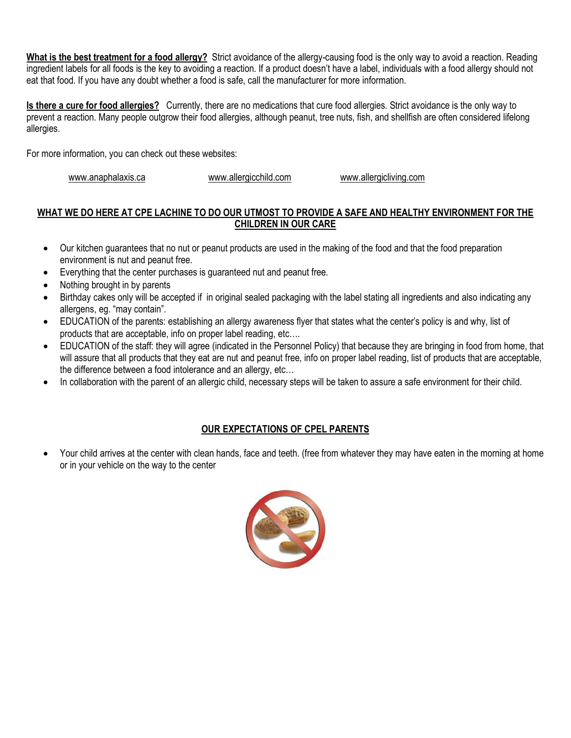**What is the best treatment for a food allergy?** Strict avoidance of the allergy-causing food is the only way to avoid a reaction. Reading ingredient labels for all foods is the key to avoiding a reaction. If a product doesn't have a label, individuals with a food allergy should not eat that food. If you have any doubt whether a food is safe, call the manufacturer for more information.

**Is there a cure for food allergies?** Currently, there are no medications that cure food allergies. Strict avoidance is the only way to prevent a reaction. Many people outgrow their food allergies, although peanut, tree nuts, fish, and shellfish are often considered lifelong allergies.

For more information, you can check out these websites:

[www.anaphalaxis.ca](http://www.anaphalaxis.ca/) [www.allergicchild.com](http://www.allergicchild.com/) [www.allergicliving.com](http://www.allergicliving.com/)

## **WHAT WE DO HERE AT CPE LACHINE TO DO OUR UTMOST TO PROVIDE A SAFE AND HEALTHY ENVIRONMENT FOR THE CHILDREN IN OUR CARE**

- Our kitchen guarantees that no nut or peanut products are used in the making of the food and that the food preparation environment is nut and peanut free.
- Everything that the center purchases is guaranteed nut and peanut free.
- Nothing brought in by parents
- Birthday cakes only will be accepted if in original sealed packaging with the label stating all ingredients and also indicating any allergens, eg. "may contain".
- EDUCATION of the parents: establishing an allergy awareness flyer that states what the center's policy is and why, list of products that are acceptable, info on proper label reading, etc….
- EDUCATION of the staff: they will agree (indicated in the Personnel Policy) that because they are bringing in food from home, that will assure that all products that they eat are nut and peanut free, info on proper label reading, list of products that are acceptable, the difference between a food intolerance and an allergy, etc…
- In collaboration with the parent of an allergic child, necessary steps will be taken to assure a safe environment for their child.

## **OUR EXPECTATIONS OF CPEL PARENTS**

• Your child arrives at the center with clean hands, face and teeth. (free from whatever they may have eaten in the morning at home or in your vehicle on the way to the center

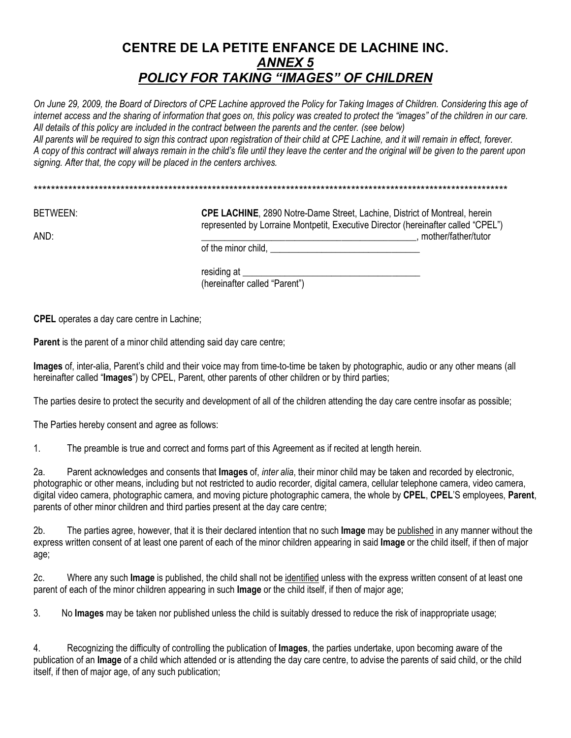## **CENTRE DE LA PETITE ENFANCE DE LACHINE INC.** *ANNEX 5 POLICY FOR TAKING "IMAGES" OF CHILDREN*

*On June 29, 2009, the Board of Directors of CPE Lachine approved the Policy for Taking Images of Children. Considering this age of internet access and the sharing of information that goes on, this policy was created to protect the "images" of the children in our care. All details of this policy are included in the contract between the parents and the center. (see below)*

*All parents will be required to sign this contract upon registration of their child at CPE Lachine, and it will remain in effect, forever. A copy of this contract will always remain in the child's file until they leave the center and the original will be given to the parent upon signing. After that, the copy will be placed in the centers archives.* 

BETWEEN: **CPE LACHINE**, 2890 Notre-Dame Street, Lachine, District of Montreal, herein represented by Lorraine Montpetit, Executive Director (hereinafter called "CPEL") AND: which is a constant of the contract of the constant of the constant of the constant of the constant of the constant of the constant of the constant of the constant of the constant of the constant of the constant of th

of the minor child, \_\_\_\_\_\_\_\_\_\_\_\_\_\_\_\_\_\_\_\_\_\_\_\_\_\_\_\_\_\_\_\_

residing at (hereinafter called "Parent")

**CPEL** operates a day care centre in Lachine;

**Parent** is the parent of a minor child attending said day care centre;

**Images** of, inter-alia, Parent's child and their voice may from time-to-time be taken by photographic, audio or any other means (all hereinafter called "**Images**") by CPEL, Parent, other parents of other children or by third parties;

The parties desire to protect the security and development of all of the children attending the day care centre insofar as possible;

The Parties hereby consent and agree as follows:

1. The preamble is true and correct and forms part of this Agreement as if recited at length herein.

2a. Parent acknowledges and consents that **Images** of, *inter alia*, their minor child may be taken and recorded by electronic, photographic or other means, including but not restricted to audio recorder, digital camera, cellular telephone camera, video camera, digital video camera, photographic camera, and moving picture photographic camera, the whole by **CPEL**, **CPEL**'S employees, **Parent**, parents of other minor children and third parties present at the day care centre;

2b. The parties agree, however, that it is their declared intention that no such **Image** may be published in any manner without the express written consent of at least one parent of each of the minor children appearing in said **Image** or the child itself, if then of major age;

2c. Where any such **Image** is published, the child shall not be identified unless with the express written consent of at least one parent of each of the minor children appearing in such **Image** or the child itself, if then of major age;

3. No **Images** may be taken nor published unless the child is suitably dressed to reduce the risk of inappropriate usage;

4. Recognizing the difficulty of controlling the publication of **Images**, the parties undertake, upon becoming aware of the publication of an **Image** of a child which attended or is attending the day care centre, to advise the parents of said child, or the child itself, if then of major age, of any such publication;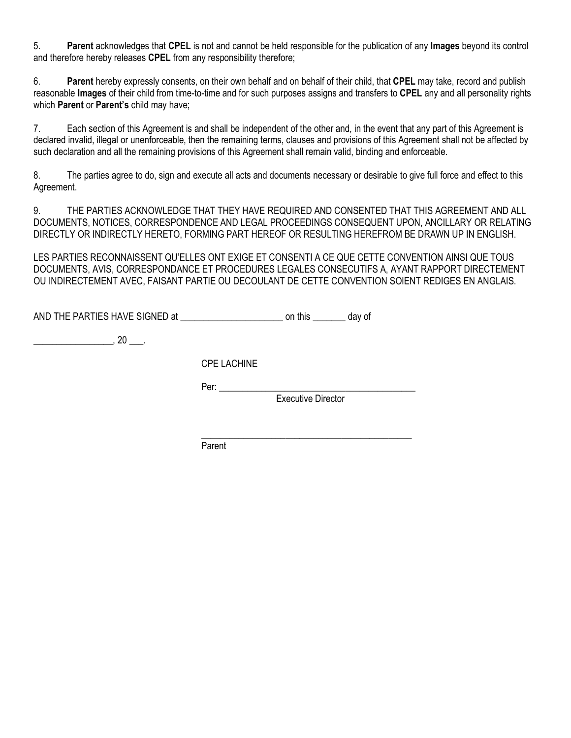5. **Parent** acknowledges that **CPEL** is not and cannot be held responsible for the publication of any **Images** beyond its control and therefore hereby releases **CPEL** from any responsibility therefore;

6. **Parent** hereby expressly consents, on their own behalf and on behalf of their child, that **CPEL** may take, record and publish reasonable **Images** of their child from time-to-time and for such purposes assigns and transfers to **CPEL** any and all personality rights which **Parent** or **Parent's** child may have;

7. Each section of this Agreement is and shall be independent of the other and, in the event that any part of this Agreement is declared invalid, illegal or unenforceable, then the remaining terms, clauses and provisions of this Agreement shall not be affected by such declaration and all the remaining provisions of this Agreement shall remain valid, binding and enforceable.

8. The parties agree to do, sign and execute all acts and documents necessary or desirable to give full force and effect to this Agreement.

9. THE PARTIES ACKNOWLEDGE THAT THEY HAVE REQUIRED AND CONSENTED THAT THIS AGREEMENT AND ALL DOCUMENTS, NOTICES, CORRESPONDENCE AND LEGAL PROCEEDINGS CONSEQUENT UPON, ANCILLARY OR RELATING DIRECTLY OR INDIRECTLY HERETO, FORMING PART HEREOF OR RESULTING HEREFROM BE DRAWN UP IN ENGLISH.

LES PARTIES RECONNAISSENT QU'ELLES ONT EXIGE ET CONSENTI A CE QUE CETTE CONVENTION AINSI QUE TOUS DOCUMENTS, AVIS, CORRESPONDANCE ET PROCEDURES LEGALES CONSECUTIFS A, AYANT RAPPORT DIRECTEMENT OU INDIRECTEMENT AVEC, FAISANT PARTIE OU DECOULANT DE CETTE CONVENTION SOIENT REDIGES EN ANGLAIS.

| AND THE PARTIES HAVE SIGNED at | on this | day of |
|--------------------------------|---------|--------|
|--------------------------------|---------|--------|

 $\overline{\phantom{a}}$ , 20  $\overline{\phantom{a}}$ .

CPE LACHINE

Per: \_\_\_\_\_\_\_\_\_\_\_\_\_\_\_\_\_\_\_\_\_\_\_\_\_\_\_\_\_\_\_\_\_\_\_\_\_\_\_\_\_\_

Executive Director

\_\_\_\_\_\_\_\_\_\_\_\_\_\_\_\_\_\_\_\_\_\_\_\_\_\_\_\_\_\_\_\_\_\_\_\_\_\_\_\_\_\_\_\_\_

Parent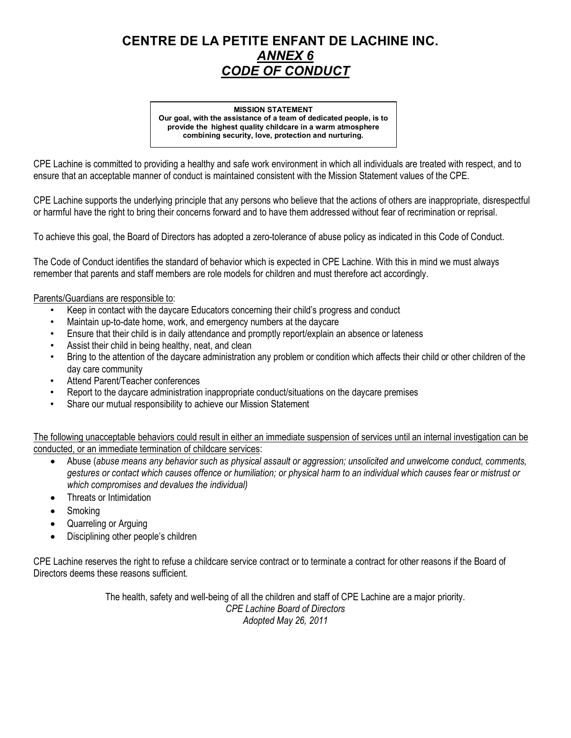## **CENTRE DE LA PETITE ENFANT DE LACHINE INC.** *ANNEX 6 CODE OF CONDUCT*

#### **MISSION STATEMENT Our goal, with the assistance of a team of dedicated people, is to provide the highest quality childcare in a warm atmosphere combining security, love, protection and nurturing.**

CPE Lachine is committed to providing a healthy and safe work environment in which all individuals are treated with respect, and to ensure that an acceptable manner of conduct is maintained consistent with the Mission Statement values of the CPE.

CPE Lachine supports the underlying principle that any persons who believe that the actions of others are inappropriate, disrespectful or harmful have the right to bring their concerns forward and to have them addressed without fear of recrimination or reprisal.

To achieve this goal, the Board of Directors has adopted a zero-tolerance of abuse policy as indicated in this Code of Conduct.

The Code of Conduct identifies the standard of behavior which is expected in CPE Lachine. With this in mind we must always remember that parents and staff members are role models for children and must therefore act accordingly.

#### Parents/Guardians are responsible to:

- Keep in contact with the daycare Educators concerning their child's progress and conduct
- Maintain up-to-date home, work, and emergency numbers at the daycare
- Ensure that their child is in daily attendance and promptly report/explain an absence or lateness
- Assist their child in being healthy, neat, and clean
- Bring to the attention of the daycare administration any problem or condition which affects their child or other children of the day care community
- Attend Parent/Teacher conferences
- Report to the daycare administration inappropriate conduct/situations on the daycare premises
- Share our mutual responsibility to achieve our Mission Statement

The following unacceptable behaviors could result in either an immediate suspension of services until an internal investigation can be conducted, or an immediate termination of childcare services:

- Abuse (*abuse means any behavior such as physical assault or aggression; unsolicited and unwelcome conduct, comments, gestures or contact which causes offence or humiliation; or physical harm to an individual which causes fear or mistrust or which compromises and devalues the individual)*
- Threats or Intimidation
- **Smoking**
- Quarreling or Arguing
- Disciplining other people's children

CPE Lachine reserves the right to refuse a childcare service contract or to terminate a contract for other reasons if the Board of Directors deems these reasons sufficient.

> The health, safety and well-being of all the children and staff of CPE Lachine are a major priority. *CPE Lachine Board of Directors Adopted May 26, 2011*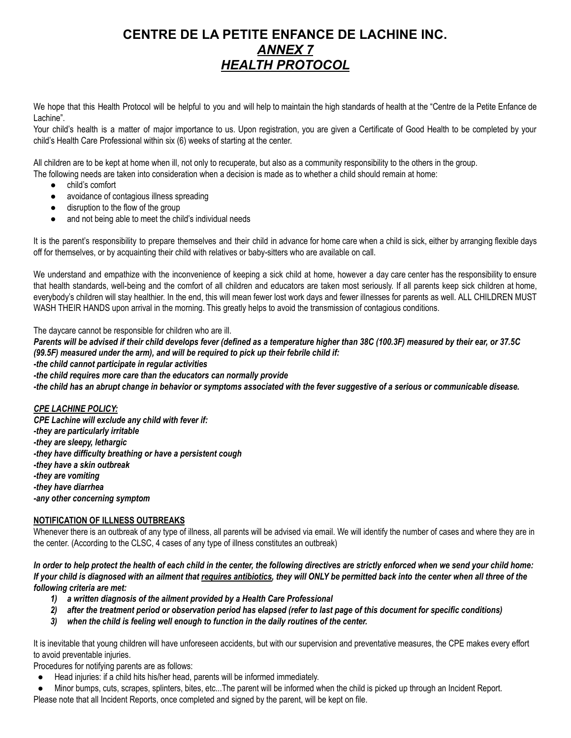## **CENTRE DE LA PETITE ENFANCE DE LACHINE INC.** *ANNEX 7 HEALTH PROTOCOL*

We hope that this Health Protocol will be helpful to you and will help to maintain the high standards of health at the "Centre de la Petite Enfance de Lachine".

Your child's health is a matter of major importance to us. Upon registration, you are given a Certificate of Good Health to be completed by your child's Health Care Professional within six (6) weeks of starting at the center.

All children are to be kept at home when ill, not only to recuperate, but also as a community responsibility to the others in the group. The following needs are taken into consideration when a decision is made as to whether a child should remain at home:

- child's comfort
- avoidance of contagious illness spreading
- disruption to the flow of the group
- and not being able to meet the child's individual needs

It is the parent's responsibility to prepare themselves and their child in advance for home care when a child is sick, either by arranging flexible days off for themselves, or by acquainting their child with relatives or baby-sitters who are available on call.

We understand and empathize with the inconvenience of keeping a sick child at home, however a day care center has the responsibility to ensure that health standards, well-being and the comfort of all children and educators are taken most seriously. If all parents keep sick children at home, everybody's children will stay healthier. In the end, this will mean fewer lost work days and fewer illnesses for parents as well. ALL CHILDREN MUST WASH THEIR HANDS upon arrival in the morning. This greatly helps to avoid the transmission of contagious conditions.

The daycare cannot be responsible for children who are ill.

Parents will be advised if their child develops fever (defined as a temperature higher than 38C (100.3F) measured by their ear, or 37.5C *(99.5F) measured under the arm), and will be required to pick up their febrile child if:*

*-the child cannot participate in regular activities*

*-the child requires more care than the educators can normally provide*

-the child has an abrupt change in behavior or symptoms associated with the fever suggestive of a serious or communicable disease.

#### *CPE LACHINE POLICY:*

*CPE Lachine will exclude any child with fever if: -they are particularly irritable -they are sleepy, lethargic -they have difficulty breathing or have a persistent cough -they have a skin outbreak -they are vomiting -they have diarrhea -any other concerning symptom*

#### **NOTIFICATION OF ILLNESS OUTBREAKS**

Whenever there is an outbreak of any type of illness, all parents will be advised via email. We will identify the number of cases and where they are in the center. (According to the CLSC, 4 cases of any type of illness constitutes an outbreak)

In order to help protect the health of each child in the center, the following directives are strictly enforced when we send your child home: If your child is diagnosed with an ailment that requires antibiotics, they will ONLY be permitted back into the center when all three of the *following criteria are met:*

- *1) a written diagnosis of the ailment provided by a Health Care Professional*
- 2) after the treatment period or observation period has elapsed (refer to last page of this document for specific conditions)
- *3) when the child is feeling well enough to function in the daily routines of the center.*

It is inevitable that young children will have unforeseen accidents, but with our supervision and preventative measures, the CPE makes every effort to avoid preventable injuries.

Procedures for notifying parents are as follows:

- Head injuries: if a child hits his/her head, parents will be informed immediately.
- Minor bumps, cuts, scrapes, splinters, bites, etc...The parent will be informed when the child is picked up through an Incident Report.

Please note that all Incident Reports, once completed and signed by the parent, will be kept on file.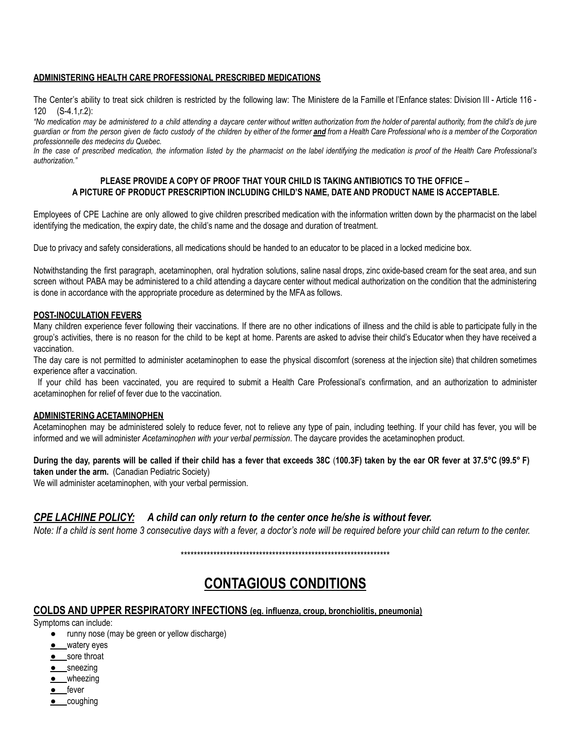#### **ADMINISTERING HEALTH CARE PROFESSIONAL PRESCRIBED MEDICATIONS**

The Center's ability to treat sick children is restricted by the following law: The Ministere de la Famille et l'Enfance states: Division III - Article 116 - 120 (S-4.1,r.2):

"No medication may be administered to a child attending a daycare center without written authorization from the holder of parental authority, from the child's de jure guardian or from the person given de facto custody of the children by either of the former and from a Health Care Professional who is a member of the Corporation *professionnelle des medecins du Quebec.*

In the case of prescribed medication, the information listed by the pharmacist on the label identifying the medication is proof of the Health Care Professional's *authorization."*

#### **PLEASE PROVIDE A COPY OF PROOF THAT YOUR CHILD IS TAKING ANTIBIOTICS TO THE OFFICE – A PICTURE OF PRODUCT PRESCRIPTION INCLUDING CHILD'S NAME, DATE AND PRODUCT NAME IS ACCEPTABLE.**

Employees of CPE Lachine are only allowed to give children prescribed medication with the information written down by the pharmacist on the label identifying the medication, the expiry date, the child's name and the dosage and duration of treatment.

Due to privacy and safety considerations, all medications should be handed to an educator to be placed in a locked medicine box.

Notwithstanding the first paragraph, acetaminophen, oral hydration solutions, saline nasal drops, zinc oxide-based cream for the seat area, and sun screen without PABA may be administered to a child attending a daycare center without medical authorization on the condition that the administering is done in accordance with the appropriate procedure as determined by the MFA as follows.

#### **POST-INOCULATION FEVERS**

Many children experience fever following their vaccinations. If there are no other indications of illness and the child is able to participate fully in the group's activities, there is no reason for the child to be kept at home. Parents are asked to advise their child's Educator when they have received a vaccination.

The day care is not permitted to administer acetaminophen to ease the physical discomfort (soreness at the injection site) that children sometimes experience after a vaccination.

If your child has been vaccinated, you are required to submit a Health Care Professional's confirmation, and an authorization to administer acetaminophen for relief of fever due to the vaccination.

#### **ADMINISTERING ACETAMINOPHEN**

Acetaminophen may be administered solely to reduce fever, not to relieve any type of pain, including teething. If your child has fever, you will be informed and we will administer *Acetaminophen with your verbal permission*. The daycare provides the acetaminophen product.

During the day, parents will be called if their child has a fever that exceeds 38C (100.3F) taken by the ear OR fever at 37.5°C (99.5° F) **taken under the arm.** (Canadian Pediatric Society)

We will administer acetaminophen, with your verbal permission.

#### *CPE LACHINE POLICY: A child can only return to the center once he/she is without fever.*

Note: If a child is sent home 3 consecutive days with a fever, a doctor's note will be required before your child can return to the center.

\*\*\*\*\*\*\*\*\*\*\*\*\*\*\*\*\*\*\*\*\*\*\*\*\*\*\*\*\*\*\*\*\*\*\*\*\*\*\*\*\*\*\*\*\*\*\*\*\*\*\*\*\*\*\*\*\*\*\*\*\*\*\*\*

## **CONTAGIOUS CONDITIONS**

#### **COLDS AND UPPER RESPIRATORY INFECTIONS (eg. influenza, croup, bronchiolitis, pneumonia)**

Symptoms can include:

- runny nose (may be green or yellow discharge)
- watery eyes
- **e** sore throat
- **•** sneezing
- wheezing
- fever
- coughing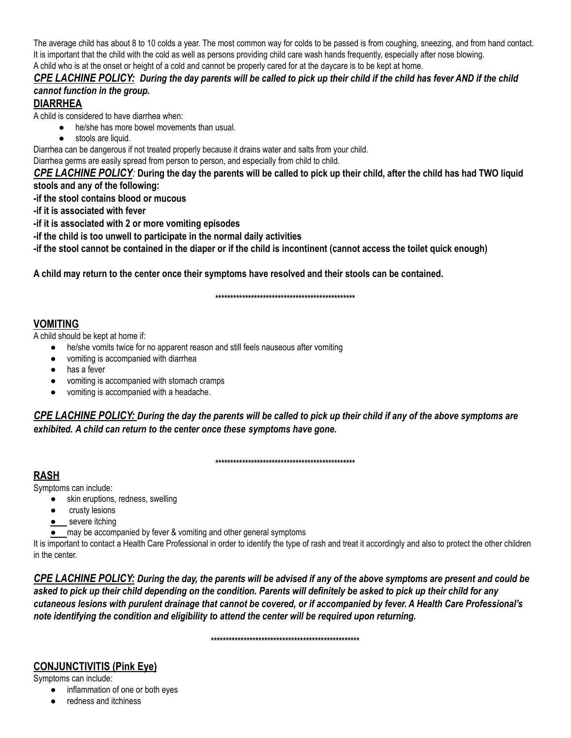The average child has about 8 to 10 colds a year. The most common way for colds to be passed is from coughing, sneezing, and from hand contact. It is important that the child with the cold as well as persons providing child care wash hands frequently, especially after nose blowing. A child who is at the onset or height of a cold and cannot be properly cared for at the daycare is to be kept at home.

## CPE LACHINE POLICY: During the day parents will be called to pick up their child if the child has fever AND if the child *cannot function in the group.*

## **DIARRHEA**

A child is considered to have diarrhea when:

- he/she has more bowel movements than usual.
- stools are liquid.

Diarrhea can be dangerous if not treated properly because it drains water and salts from your child.

Diarrhea germs are easily spread from person to person, and especially from child to child.

CPE LACHINE POLICY: During the day the parents will be called to pick up their child, after the child has had TWO liquid **stools and any of the following:**

**-if the stool contains blood or mucous**

**-if it is associated with fever**

**-if it is associated with 2 or more vomiting episodes**

**-if the child is too unwell to participate in the normal daily activities**

-if the stool cannot be contained in the diaper or if the child is incontinent (cannot access the toilet quick enough)

A child may return to the center once their symptoms have resolved and their stools can be contained.

**\*\*\*\*\*\*\*\*\*\*\*\*\*\*\*\*\*\*\*\*\*\*\*\*\*\*\*\*\*\*\*\*\*\*\*\*\*\*\*\*\*\*\*\*\*\*\***

## **VOMITING**

A child should be kept at home if:

- he/she vomits twice for no apparent reason and still feels nauseous after vomiting
- vomiting is accompanied with diarrhea
- has a fever
- vomiting is accompanied with stomach cramps
- vomiting is accompanied with a headache.

CPE LACHINE POLICY: During the day the parents will be called to pick up their child if any of the above symptoms are *exhibited. A child can return to the center once these symptoms have gone.*

**\*\*\*\*\*\*\*\*\*\*\*\*\*\*\*\*\*\*\*\*\*\*\*\*\*\*\*\*\*\*\*\*\*\*\*\*\*\*\*\*\*\*\*\*\*\*\***

## **RASH**

Symptoms can include:

- skin eruptions, redness, swelling
- crusty lesions
- **.** severe itching
- **•** may be accompanied by fever & vomiting and other general symptoms

It is important to contact a Health Care Professional in order to identify the type of rash and treat it accordingly and also to protect the other children in the center.

CPE LACHINE POLICY: During the day, the parents will be advised if any of the above symptoms are present and could be asked to pick up their child depending on the condition. Parents will definitely be asked to pick up their child for any cutaneous lesions with purulent drainage that cannot be covered, or if accompanied by fever. A Health Care Professional's *note identifying the condition and eligibility to attend the center will be required upon returning.*

**\*\*\*\*\*\*\*\*\*\*\*\*\*\*\*\*\*\*\*\*\*\*\*\*\*\*\*\*\*\*\*\*\*\*\*\*\*\*\*\*\*\*\*\*\*\*\*\*\*\***

## **CONJUNCTIVITIS (Pink Eye)**

Symptoms can include:

- inflammation of one or both eyes
- redness and itchiness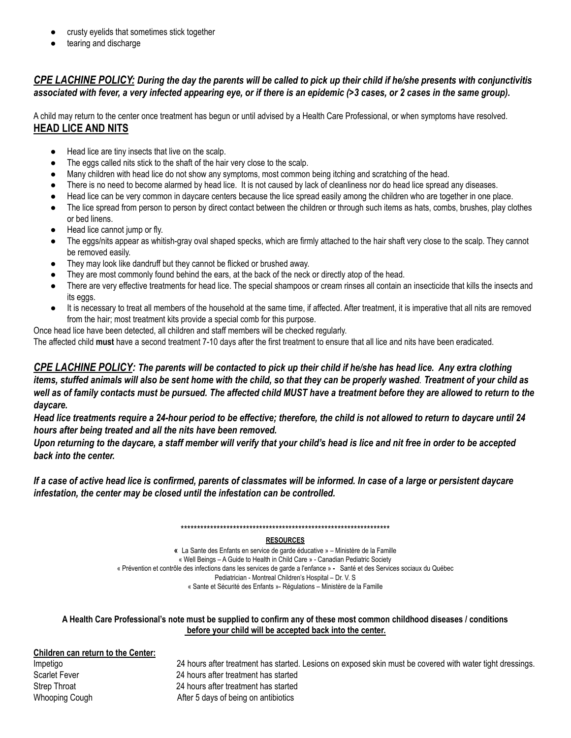- crusty eyelids that sometimes stick together
- tearing and discharge

## CPE LACHINE POLICY: During the day the parents will be called to pick up their child if he/she presents with conjunctivitis associated with fever, a very infected appearing eye, or if there is an epidemic (>3 cases, or 2 cases in the same group).

A child may return to the center once treatment has begun or until advised by a Health Care Professional, or when symptoms have resolved. **HEAD LICE AND NITS**

- Head lice are tiny insects that live on the scalp.
- The eggs called nits stick to the shaft of the hair very close to the scalp.
- Many children with head lice do not show any symptoms, most common being itching and scratching of the head.
- There is no need to become alarmed by head lice. It is not caused by lack of cleanliness nor do head lice spread any diseases.
- Head lice can be very common in daycare centers because the lice spread easily among the children who are together in one place.
- The lice spread from person to person by direct contact between the children or through such items as hats, combs, brushes, play clothes or bed linens.
- Head lice cannot jump or fly.
- The eggs/nits appear as whitish-gray oval shaped specks, which are firmly attached to the hair shaft very close to the scalp. They cannot be removed easily.
- They may look like dandruff but they cannot be flicked or brushed away.
- They are most commonly found behind the ears, at the back of the neck or directly atop of the head.
- There are very effective treatments for head lice. The special shampoos or cream rinses all contain an insecticide that kills the insects and its eggs.
- It is necessary to treat all members of the household at the same time, if affected. After treatment, it is imperative that all nits are removed from the hair; most treatment kits provide a special comb for this purpose.
- Once head lice have been detected, all children and staff members will be checked regularly.

The affected child **must** have a second treatment 7-10 days after the first treatment to ensure that all lice and nits have been eradicated.

CPE LACHINE POLICY: The parents will be contacted to pick up their child if he/she has head lice. Any extra clothing items, stuffed animals will also be sent home with the child, so that they can be properly washed. Treatment of your child as well as of family contacts must be pursued. The affected child MUST have a treatment before they are allowed to return to the *daycare.*

Head lice treatments require a 24-hour period to be effective; therefore, the child is not allowed to return to daycare until 24 *hours after being treated and all the nits have been removed.*

Upon returning to the daycare, a staff member will verify that your child's head is lice and nit free in order to be accepted *back into the center.*

If a case of active head lice is confirmed, parents of classmates will be informed. In case of a large or persistent daycare *infestation, the center may be closed until the infestation can be controlled.*

\*\*\*\*\*\*\*\*\*\*\*\*\*\*\*\*\*\*\*\*\*\*\*\*\*\*\*\*\*\*\*\*\*\*\*\*\*\*\*\*\*\*\*\*\*\*\*\*\*\*\*\*\*\*\*\*\*\*\*\*\*\*\*\*

#### **RESOURCES**

**«** La Sante des Enfants en service de garde éducative » – Ministère de la Famille « Well Beings – A Guide to Health in Child Care » - Canadian Pediatric Society « Prévention et contrôle des infections dans les services de garde a l'enfance » **-** Santé et des Services sociaux du Québec Pediatrician - Montreal Children's Hospital – Dr. V. S « Sante et Sécurité des Enfants »- Régulations – Ministère de la Famille

#### A Health Care Professional's note must be supplied to confirm any of these most common childhood diseases / conditions **before your child will be accepted back into the center.**

| Children can return to the Center: |                                                                                                           |
|------------------------------------|-----------------------------------------------------------------------------------------------------------|
| Impetigo                           | 24 hours after treatment has started. Lesions on exposed skin must be covered with water tight dressings. |
| Scarlet Fever                      | 24 hours after treatment has started                                                                      |
| <b>Strep Throat</b>                | 24 hours after treatment has started                                                                      |
| <b>Whooping Cough</b>              | After 5 days of being on antibiotics                                                                      |